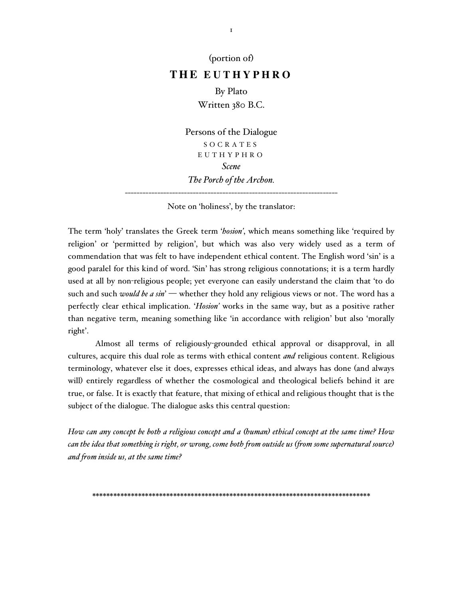(portion of)

## **TH E E U T H Y P H R O**

By Plato Written 380 B.C.

Persons of the Dialogue S O C R A T E S E U T H Y P H R O *Scene The Porch of the Archon.*

------------------------------------------------------------------------ Note on 'holiness', by the translator:

The term 'holy' translates the Greek term '*hosion'*, which means something like 'required by religion' or 'permitted by religion', but which was also very widely used as a term of commendation that was felt to have independent ethical content. The English word 'sin' is a good paralel for this kind of word. 'Sin' has strong religious connotations; it is a term hardly used at all by non-religious people; yet everyone can easily understand the claim that 'to do such and such *would be a sin*' — whether they hold any religious views or not. The word has a perfectly clear ethical implication. '*Hosion'* works in the same way, but as a positive rather than negative term, meaning something like 'in accordance with religion' but also 'morally right'.

Almost all terms of religiously-grounded ethical approval or disapproval, in all cultures, acquire this dual role as terms with ethical content *and* religious content. Religious terminology, whatever else it does, expresses ethical ideas, and always has done (and always will) entirely regardless of whether the cosmological and theological beliefs behind it are true, or false. It is exactly that feature, that mixing of ethical and religious thought that is the subject of the dialogue. The dialogue asks this central question:

How can any concept be both a religious concept and a (human) ethical concept at the same time? How can the idea that something is right, or wrong, come both from outside us (from some supernatural source) *and from inside us, at the same time?*

\*\*\*\*\*\*\*\*\*\*\*\*\*\*\*\*\*\*\*\*\*\*\*\*\*\*\*\*\*\*\*\*\*\*\*\*\*\*\*\*\*\*\*\*\*\*\*\*\*\*\*\*\*\*\*\*\*\*\*\*\*\*\*\*\*\*\*\*\*\*\*\*\*\*\*\*\*\*\*

1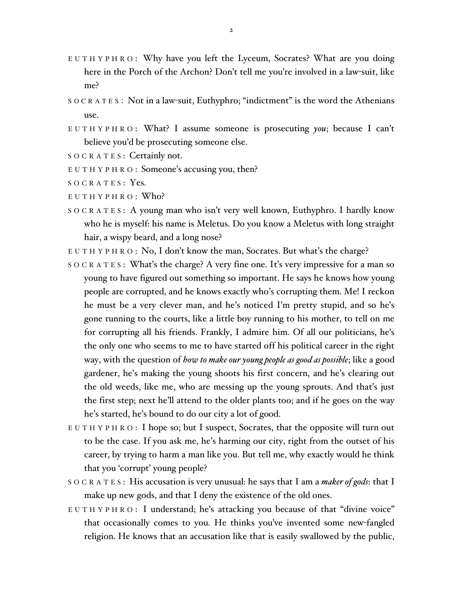- E U T H Y P H R O : Why have you left the Lyceum, Socrates? What are you doing here in the Porch of the Archon? Don't tell me you're involved in a law-suit, like me?
- S O C R A T E S : Not in a law-suit, Euthyphro; "indictment" is the word the Athenians use.
- E U T H Y P H R O : What? I assume someone is prosecuting *you*; because I can't believe you'd be prosecuting someone else.
- SOCRATES: Certainly not.
- E U T H Y P H R O : Someone's accusing you, then?
- SOCRATES: Yes.
- E U T H Y P H R O : Who?
- S O C R A T E S : A young man who isn't very well known, Euthyphro. I hardly know who he is myself: his name is Meletus. Do you know a Meletus with long straight hair, a wispy beard, and a long nose?
- E U T H Y P H R O : No, I don't know the man, Socrates. But what's the charge?
- SOCRATES: What's the charge? A very fine one. It's very impressive for a man so young to have figured out something so important. He says he knows how young people are corrupted, and he knows exactly who's corrupting them. Me! I reckon he must be a very clever man, and he's noticed I'm pretty stupid, and so he's gone running to the courts, like a little boy running to his mother, to tell on me for corrupting all his friends. Frankly, I admire him. Of all our politicians, he's the only one who seems to me to have started off his political career in the right way, with the question of *how to make our young people as good as possible*; like a good gardener, he's making the young shoots his first concern, and he's clearing out the old weeds, like me, who are messing up the young sprouts. And that's just the first step; next he'll attend to the older plants too; and if he goes on the way he's started, he's bound to do our city a lot of good.
- $E U T H Y P H R O: I$  hope so; but I suspect, Socrates, that the opposite will turn out to be the case. If you ask me, he's harming our city, right from the outset of his career, by trying to harm a man like you. But tell me, why exactly would he think that you 'corrupt' young people?
- S O C R A T E S : His accusation is very unusual: he says that I am a *maker of gods*: that I make up new gods, and that I deny the existence of the old ones.
- E U T H Y P H R O : I understand; he's attacking you because of that "divine voice" that occasionally comes to you. He thinks you've invented some new-fangled religion. He knows that an accusation like that is easily swallowed by the public,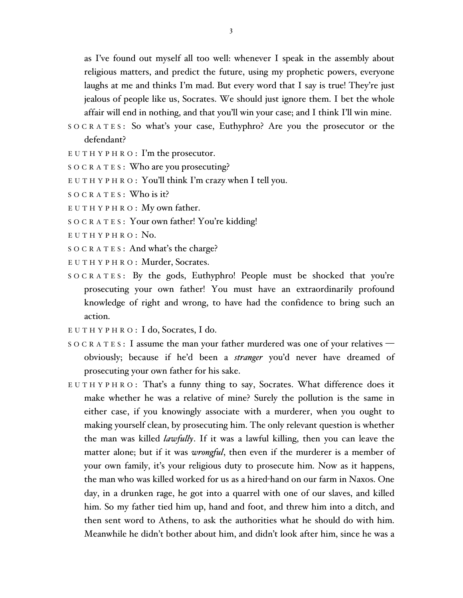as I've found out myself all too well: whenever I speak in the assembly about religious matters, and predict the future, using my prophetic powers, everyone laughs at me and thinks I'm mad. But every word that I say is true! They're just jealous of people like us, Socrates. We should just ignore them. I bet the whole affair will end in nothing, and that you'll win your case; and I think I'll win mine.

- S O C R A T E S : So what's your case, Euthyphro? Are you the prosecutor or the defendant?
- E U T H Y P H R O : I'm the prosecutor.
- S O C R A T E S : Who are you prosecuting?
- E U T H Y P H R O : You'll think I'm crazy when I tell you.
- $S$  O C R A T E S : Who is it?
- $E U T H Y P H R O$ : My own father.
- S O C R A T E S : Your own father! You're kidding!
- E U T H Y P H R O : No.
- S O C R A T E S : And what's the charge?
- EUTHYPHRO: Murder, Socrates.
- S O C R A T E S : By the gods, Euthyphro! People must be shocked that you're prosecuting your own father! You must have an extraordinarily profound knowledge of right and wrong, to have had the confidence to bring such an action.
- E U T H Y P H R O : I do, Socrates, I do.
- SOCRATES: I assume the man your father murdered was one of your relatives obviously; because if he'd been a *stranger* you'd never have dreamed of prosecuting your own father for his sake.
- E U T H Y P H R O : That's a funny thing to say, Socrates. What difference does it make whether he was a relative of mine? Surely the pollution is the same in either case, if you knowingly associate with a murderer, when you ought to making yourself clean, by prosecuting him. The only relevant question is whether the man was killed *lawfully*. If it was a lawful killing, then you can leave the matter alone; but if it was *wrongful*, then even if the murderer is a member of your own family, it's your religious duty to prosecute him. Now as it happens, the man who was killed worked for us as a hired-hand on our farm in Naxos. One day, in a drunken rage, he got into a quarrel with one of our slaves, and killed him. So my father tied him up, hand and foot, and threw him into a ditch, and then sent word to Athens, to ask the authorities what he should do with him. Meanwhile he didn't bother about him, and didn't look after him, since he was a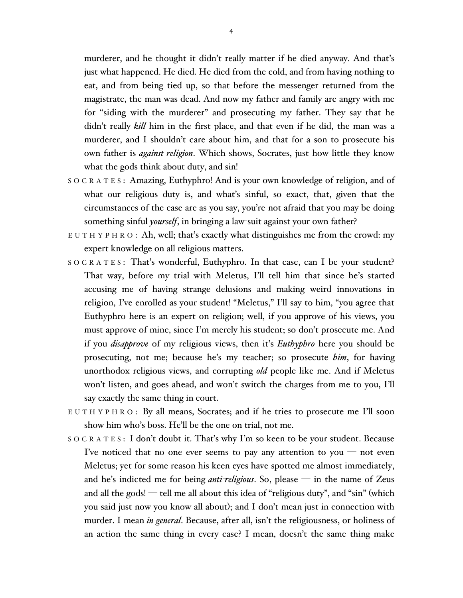murderer, and he thought it didn't really matter if he died anyway. And that's just what happened. He died. He died from the cold, and from having nothing to eat, and from being tied up, so that before the messenger returned from the magistrate, the man was dead. And now my father and family are angry with me for "siding with the murderer" and prosecuting my father. They say that he didn't really *kill* him in the first place, and that even if he did, the man was a murderer, and I shouldn't care about him, and that for a son to prosecute his own father is *against religion*. Which shows, Socrates, just how little they know what the gods think about duty, and sin!

- S O C R A T E S : Amazing, Euthyphro! And is your own knowledge of religion, and of what our religious duty is, and what's sinful, so exact, that, given that the circumstances of the case are as you say, you're not afraid that you may be doing something sinful *yourself*, in bringing a law-suit against your own father?
- $E U T H Y P H R O: Ah, well; that's exactly what distinguishes me from the crowd: my$ expert knowledge on all religious matters.
- S O C R A T E S : That's wonderful, Euthyphro. In that case, can I be your student? That way, before my trial with Meletus, I'll tell him that since he's started accusing me of having strange delusions and making weird innovations in religion, I've enrolled as your student! "Meletus," I'll say to him, "you agree that Euthyphro here is an expert on religion; well, if you approve of his views, you must approve of mine, since I'm merely his student; so don't prosecute me. And if you *disapprove* of my religious views, then it's *Euthyphro* here you should be prosecuting, not me; because he's my teacher; so prosecute *him*, for having unorthodox religious views, and corrupting *old* people like me. And if Meletus won't listen, and goes ahead, and won't switch the charges from me to you, I'll say exactly the same thing in court.
- EUTHYPHRO: By all means, Socrates; and if he tries to prosecute me I'll soon show him who's boss. He'll be the one on trial, not me.
- S O C R A T E S : I don't doubt it. That's why I'm so keen to be your student. Because I've noticed that no one ever seems to pay any attention to you — not even Meletus; yet for some reason his keen eyes have spotted me almost immediately, and he's indicted me for being *anti-religious*. So, please — in the name of Zeus and all the gods! — tell me all about this idea of "religious duty", and "sin" (which you said just now you know all about); and I don't mean just in connection with murder. I mean *in general*. Because, after all, isn't the religiousness, or holiness of an action the same thing in every case? I mean, doesn't the same thing make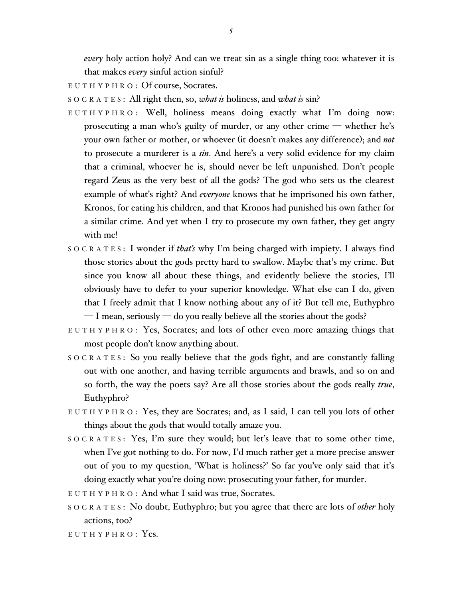*every* holy action holy? And can we treat sin as a single thing too: whatever it is that makes *every* sinful action sinful?

E U T H Y P H R O : Of course, Socrates.

S O C R A T E S : All right then, so, *what is* holiness, and *what is* sin?

- E U T H Y P H R O : Well, holiness means doing exactly what I'm doing now: prosecuting a man who's guilty of murder, or any other crime — whether he's your own father or mother, or whoever (it doesn't makes any difference); and *not* to prosecute a murderer is a *sin*. And here's a very solid evidence for my claim that a criminal, whoever he is, should never be left unpunished. Don't people regard Zeus as the very best of all the gods? The god who sets us the clearest example of what's right? And *everyone* knows that he imprisoned his own father, Kronos, for eating his children, and that Kronos had punished his own father for a similar crime. And yet when I try to prosecute my own father, they get angry with me!
- S O C R A T E S : I wonder if *that's* why I'm being charged with impiety. I always find those stories about the gods pretty hard to swallow. Maybe that's my crime. But since you know all about these things, and evidently believe the stories, I'll obviously have to defer to your superior knowledge. What else can I do, given that I freely admit that I know nothing about any of it? But tell me, Euthyphro — I mean, seriously — do you really believe all the stories about the gods?
- EUTHYPHRO: Yes, Socrates; and lots of other even more amazing things that most people don't know anything about.
- S O C R A T E S : So you really believe that the gods fight, and are constantly falling out with one another, and having terrible arguments and brawls, and so on and so forth, the way the poets say? Are all those stories about the gods really *true*, Euthyphro?
- E U T H Y P H R O : Yes, they are Socrates; and, as I said, I can tell you lots of other things about the gods that would totally amaze you.
- S O C R A T E S : Yes, I'm sure they would; but let's leave that to some other time, when I've got nothing to do. For now, I'd much rather get a more precise answer out of you to my question, 'What is holiness?' So far you've only said that it's doing exactly what you're doing now: prosecuting your father, for murder.
- E U T H Y P H R O : And what I said was true, Socrates.
- S O C R A T E S : No doubt, Euthyphro; but you agree that there are lots of *other* holy actions, too?
- $E$  U T H Y P H R O : Yes.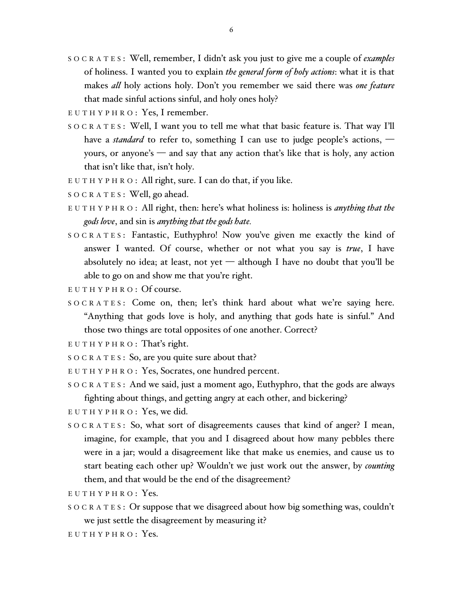- S O C R A T E S : Well, remember, I didn't ask you just to give me a couple of *examples* of holiness. I wanted you to explain *the general form of holy actions*: what it is that makes *all* holy actions holy. Don't you remember we said there was *one feature* that made sinful actions sinful, and holy ones holy?
- $E U T H Y P H R O$ : Yes, I remember.
- S O C R A T E S : Well, I want you to tell me what that basic feature is. That way I'll have a *standard* to refer to, something I can use to judge people's actions,  $$ yours, or anyone's — and say that any action that's like that is holy, any action that isn't like that, isn't holy.
- E U T H Y P H R O : All right, sure. I can do that, if you like.
- SOCRATES: Well, go ahead.
- E U T H Y P H R O : All right, then: here's what holiness is: holiness is *anything that the gods love*, and sin is *anything that the gods hate.*
- S O C R A T E S : Fantastic, Euthyphro! Now you've given me exactly the kind of answer I wanted. Of course, whether or not what you say is *true*, I have absolutely no idea; at least, not yet  $-$  although I have no doubt that you'll be able to go on and show me that you're right.
- $E U T H Y P H R O : Of course.$
- S O C R A T E S : Come on, then; let's think hard about what we're saying here. "Anything that gods love is holy, and anything that gods hate is sinful." And those two things are total opposites of one another. Correct?
- $E U T H Y P H R O$ : That's right.
- S O C R A T E S : So, are you quite sure about that?
- E U T H Y P H R O : Yes, Socrates, one hundred percent.
- S O C R A T E S : And we said, just a moment ago, Euthyphro, that the gods are always fighting about things, and getting angry at each other, and bickering?
- $E U T H Y P H R O$ : Yes, we did.
- S O C R A T E S : So, what sort of disagreements causes that kind of anger? I mean, imagine, for example, that you and I disagreed about how many pebbles there were in a jar; would a disagreement like that make us enemies, and cause us to start beating each other up? Wouldn't we just work out the answer, by *counting* them, and that would be the end of the disagreement?
- $E$  U T H Y P H R O : Yes.
- S O C R A T E S : Or suppose that we disagreed about how big something was, couldn't we just settle the disagreement by measuring it?
- $E$  U T H Y P H R O : Yes.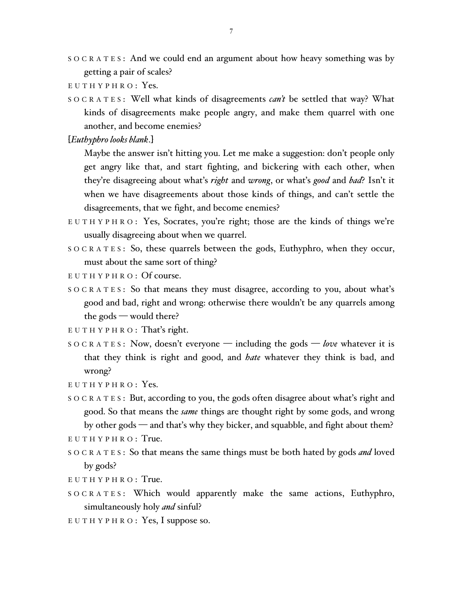- S O C R A T E S : And we could end an argument about how heavy something was by getting a pair of scales?
- $E$  U T H Y P H R O : Yes.
- S O C R A T E S : Well what kinds of disagreements *can't* be settled that way? What kinds of disagreements make people angry, and make them quarrel with one another, and become enemies?

[*Euthyphro looks blank*.]

Maybe the answer isn't hitting you. Let me make a suggestion: don't people only get angry like that, and start fighting, and bickering with each other, when they're disagreeing about what's *right* and *wrong*, or what's *good* and *bad*? Isn't it when we have disagreements about those kinds of things, and can't settle the disagreements, that we fight, and become enemies?

- E U T H Y P H R O : Yes, Socrates, you're right; those are the kinds of things we're usually disagreeing about when we quarrel.
- SOCRATES: So, these quarrels between the gods, Euthyphro, when they occur, must about the same sort of thing?
- $E U T H Y P H R O : Of course.$
- $S$  O C R A T E S: So that means they must disagree, according to you, about what's good and bad, right and wrong: otherwise there wouldn't be any quarrels among the gods — would there?

 $E U T H Y P H R O: That's right.$ 

- S O C R A T E S : Now, doesn't everyone including the gods *love* whatever it is that they think is right and good, and *hate* whatever they think is bad, and wrong?
- $E$  U T H Y P H R O : Yes.
- S O C R A T E S : But, according to you, the gods often disagree about what's right and good. So that means the *same* things are thought right by some gods, and wrong by other gods — and that's why they bicker, and squabble, and fight about them?
- $E$  U T H Y P H R O : True.
- S O C R A T E S : So that means the same things must be both hated by gods *and* loved by gods?
- $E$  U T H Y P H R O : True.
- S O C R A T E S : Which would apparently make the same actions, Euthyphro, simultaneously holy *and* sinful?
- E U T H Y P H R O : Yes, I suppose so.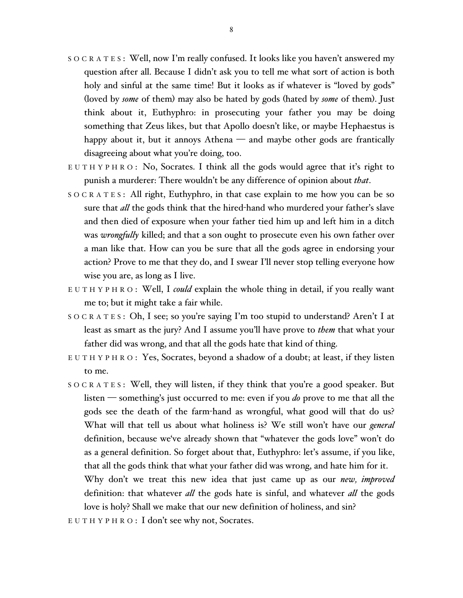- S O C R A T E S : Well, now I'm really confused. It looks like you haven't answered my question after all. Because I didn't ask you to tell me what sort of action is both holy and sinful at the same time! But it looks as if whatever is "loved by gods" (loved by *some* of them) may also be hated by gods (hated by *some* of them). Just think about it, Euthyphro: in prosecuting your father you may be doing something that Zeus likes, but that Apollo doesn't like, or maybe Hephaestus is happy about it, but it annoys Athena — and maybe other gods are frantically disagreeing about what you're doing, too.
- E U T H Y P H R O : No, Socrates. I think all the gods would agree that it's right to punish a murderer: There wouldn't be any difference of opinion about *that*.
- S O C R A T E S : All right, Euthyphro, in that case explain to me how you can be so sure that *all* the gods think that the hired-hand who murdered your father's slave and then died of exposure when your father tied him up and left him in a ditch was *wrongfully* killed; and that a son ought to prosecute even his own father over a man like that. How can you be sure that all the gods agree in endorsing your action? Prove to me that they do, and I swear I'll never stop telling everyone how wise you are, as long as I live.
- E U T H Y P H R O : Well, I *could* explain the whole thing in detail, if you really want me to; but it might take a fair while.
- S O C R A T E S : Oh, I see; so you're saying I'm too stupid to understand? Aren't I at least as smart as the jury? And I assume you'll have prove to *them* that what your father did was wrong, and that all the gods hate that kind of thing.
- E U T H Y P H R O : Yes, Socrates, beyond a shadow of a doubt; at least, if they listen to me.
- S O C R A T E S : Well, they will listen, if they think that you're a good speaker. But listen — something's just occurred to me: even if you *do* prove to me that all the gods see the death of the farm-hand as wrongful, what good will that do us? What will that tell us about what holiness is? We still won't have our *general* definition, because we've already shown that "whatever the gods love" won't do as a general definition. So forget about that, Euthyphro: let's assume, if you like, that all the gods think that what your father did was wrong, and hate him for it. Why don't we treat this new idea that just came up as our *new, improved* definition: that whatever *all* the gods hate is sinful, and whatever *all* the gods love is holy? Shall we make that our new definition of holiness, and sin?

E U T H Y P H R O : I don't see why not, Socrates.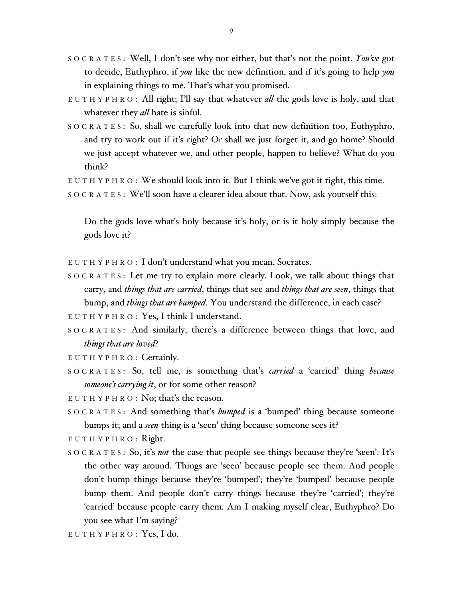- S O C R A T E S : Well, I don't see why not either, but that's not the point. *You've* got to decide, Euthyphro, if *you* like the new definition, and if it's going to help *you* in explaining things to me. That's what you promised.
- E U T H Y P H R O : All right; I'll say that whatever *all* the gods love is holy, and that whatever they *all* hate is sinful.
- $S \circ C R A T E S$ : So, shall we carefully look into that new definition too, Euthyphro, and try to work out if it's right? Or shall we just forget it, and go home? Should we just accept whatever we, and other people, happen to believe? What do you think?

 $E U T H Y P H R O:$  We should look into it. But I think we've got it right, this time.

S O C R A T E S : We'll soon have a clearer idea about that. Now, ask yourself this:

Do the gods love what's holy because it's holy, or is it holy simply because the gods love it?

- E U T H Y P H R O : I don't understand what you mean, Socrates.
- S O C R A T E S : Let me try to explain more clearly. Look, we talk about things that carry, and *things that are carried*, things that see and *things that are seen*, things that bump, and *things that are bumped*. You understand the difference, in each case?
- E U T H Y P H R O : Yes, I think I understand.
- S O C R A T E S : And similarly, there's a difference between things that love, and *things that are loved*?
- EUTHYPHRO: Certainly.
- S O C R A T E S : So, tell me, is something that's *carried* a 'carried' thing *because someone's carrying it*, or for some other reason?

E U T H Y P H R O : No; that's the reason.

- S O C R A T E S : And something that's *bumped* is a 'bumped' thing because someone bumps it; and a *seen* thing is a 'seen' thing because someone sees it?
- $E U T H Y P H R O$ : Right.
- S O C R A T E S : So, it's *not* the case that people see things because they're 'seen'. It's the other way around. Things are 'seen' because people see them. And people don't bump things because they're 'bumped'; they're 'bumped' because people bump them. And people don't carry things because they're 'carried'; they're 'carried' because people carry them. Am I making myself clear, Euthyphro? Do you see what I'm saying?
- $E$  U T H Y P H R O : Yes, I do.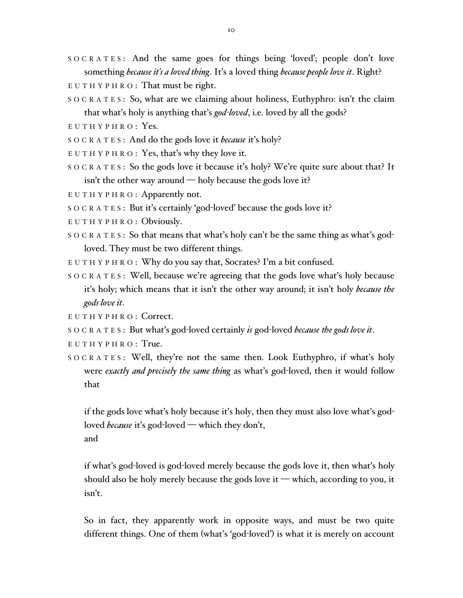- S O C R A T E S : And the same goes for things being 'loved'; people don't love something *because it's a loved thing*. It's a loved thing *because people love it*. Right?
- E U T H Y P H R O : That must be right.
- S O C R A T E S : So, what are we claiming about holiness, Euthyphro: isn't the claim that what's holy is anything that's *god-loved*, i.e. loved by all the gods?
- $E$  U T H Y P H R O : Yes.
- S O C R A T E S : And do the gods love it *because* it's holy?
- E U T H Y P H R O : Yes, that's why they love it.
- S O C R A T E S : So the gods love it because it's holy? We're quite sure about that? It isn't the other way around — holy because the gods love it?
- E U T H Y P H R O : Apparently not.
- S O C R A T E S : But it's certainly 'god-loved' because the gods love it?
- $E U T H Y P H R O : Obviously.$
- S O C R A T E S : So that means that what's holy can't be the same thing as what's godloved. They must be two different things.
- E U T H Y P H R O : Why do you say that, Socrates? I'm a bit confused.
- S O C R A T E S : Well, because we're agreeing that the gods love what's holy because it's holy; which means that it isn't the other way around; it isn't holy *because the gods love it*.
- E U T H Y P H R O : Correct.
- S O C R A T E S : But what's god-loved certainly *is* god-loved *because the gods love it*.
- E U T H Y P H R O : True.
- S O C R A T E S : Well, they're not the same then. Look Euthyphro, if what's holy were *exactly and precisely the same thing* as what's god-loved, then it would follow that

if the gods love what's holy because it's holy, then they must also love what's godloved *because* it's god-loved — which they don't, and

if what's god-loved is god-loved merely because the gods love it, then what's holy should also be holy merely because the gods love it — which, according to you, it isn't.

So in fact, they apparently work in opposite ways, and must be two quite different things. One of them (what's 'god-loved') is what it is merely on account